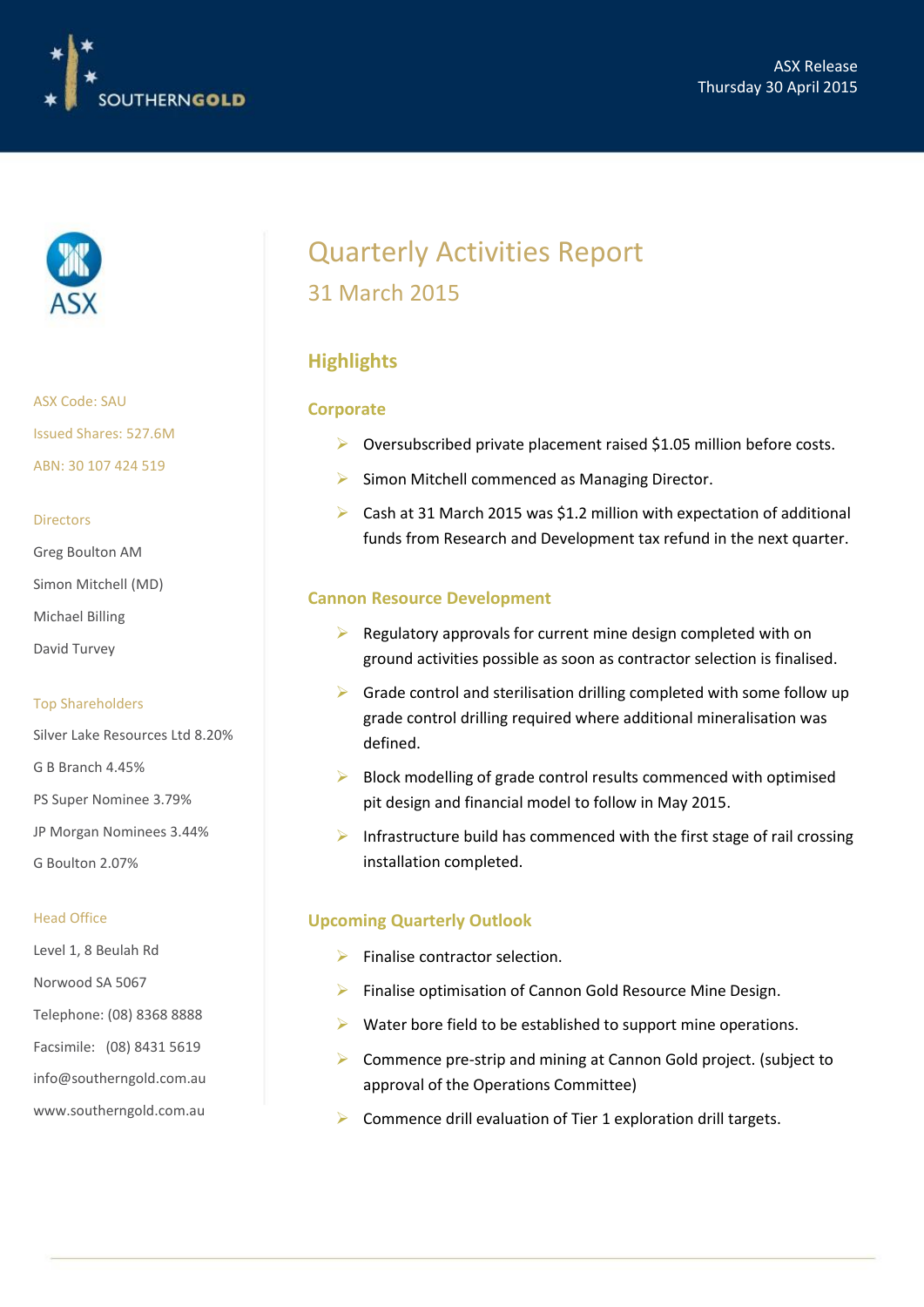



ASX Code: SAU Issued Shares: 527.6M ABN: 30 107 424 519

#### Directors

Greg Boulton AM

- Simon Mitchell (MD)
- Michael Billing
- David Turvey

#### Top Shareholders

Silver Lake Resources Ltd 8.20% G B Branch 4.45% PS Super Nominee 3.79% JP Morgan Nominees 3.44% G Boulton 2.07%

#### Head Office

Level 1, 8 Beulah Rd Norwood SA 5067 Telephone: (08) 8368 8888 Facsimile: (08) 8431 5619 info@southerngold.com.au www.southerngold.com.au

## Quarterly Activities Report 31 March 2015

## **Highlights**

#### **Corporate**

- $\triangleright$  Oversubscribed private placement raised \$1.05 million before costs.
- $\triangleright$  Simon Mitchell commenced as Managing Director.
- Cash at 31 March 2015 was \$1.2 million with expectation of additional funds from Research and Development tax refund in the next quarter.

#### **Cannon Resource Development**

- $\triangleright$  Regulatory approvals for current mine design completed with on ground activities possible as soon as contractor selection is finalised.
- $\triangleright$  Grade control and sterilisation drilling completed with some follow up grade control drilling required where additional mineralisation was defined.
- $\triangleright$  Block modelling of grade control results commenced with optimised pit design and financial model to follow in May 2015.
- $\triangleright$  Infrastructure build has commenced with the first stage of rail crossing installation completed.

#### **Upcoming Quarterly Outlook**

- $\triangleright$  Finalise contractor selection.
- $\triangleright$  Finalise optimisation of Cannon Gold Resource Mine Design.
- $\triangleright$  Water bore field to be established to support mine operations.
- Commence pre-strip and mining at Cannon Gold project. (subject to approval of the Operations Committee)
- Commence drill evaluation of Tier 1 exploration drill targets.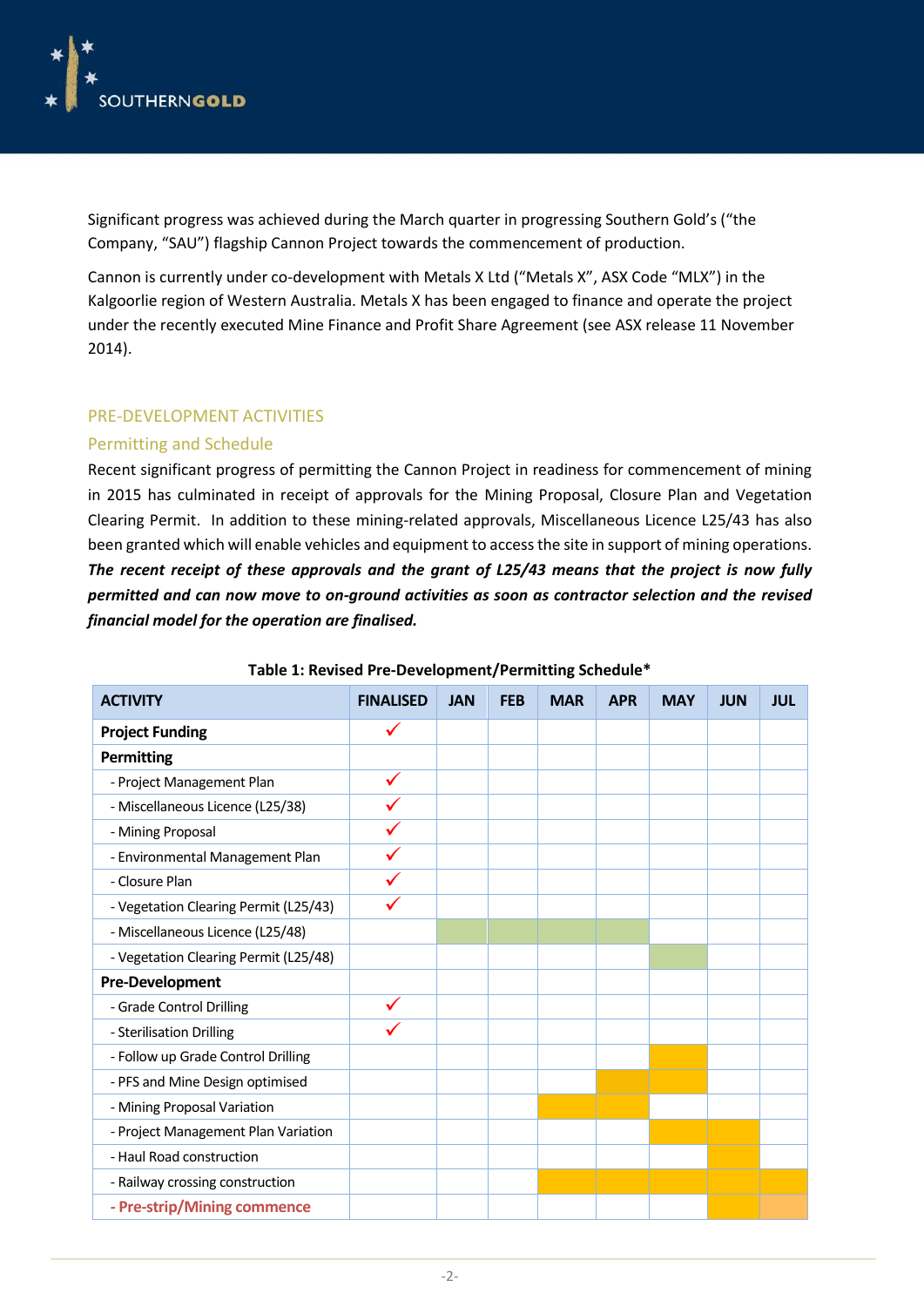

Significant progress was achieved during the March quarter in progressing Southern Gold's ("the Company, "SAU") flagship Cannon Project towards the commencement of production.

Cannon is currently under co-development with Metals X Ltd ("Metals X", ASX Code "MLX") in the Kalgoorlie region of Western Australia. Metals X has been engaged to finance and operate the project under the recently executed Mine Finance and Profit Share Agreement (see ASX release 11 November 2014).

#### PRE-DEVELOPMENT ACTIVITIES

#### Permitting and Schedule

Recent significant progress of permitting the Cannon Project in readiness for commencement of mining in 2015 has culminated in receipt of approvals for the Mining Proposal, Closure Plan and Vegetation Clearing Permit. In addition to these mining-related approvals, Miscellaneous Licence L25/43 has also been granted which will enable vehicles and equipment to access the site in support of mining operations. *The recent receipt of these approvals and the grant of L25/43 means that the project is now fully permitted and can now move to on-ground activities as soon as contractor selection and the revised financial model for the operation are finalised.*

| <b>ACTIVITY</b>                       | <b>FINALISED</b> | <b>JAN</b> | <b>FEB</b> | <b>MAR</b> | <b>APR</b> | <b>MAY</b> | <b>JUN</b> | <b>JUL</b> |
|---------------------------------------|------------------|------------|------------|------------|------------|------------|------------|------------|
| <b>Project Funding</b>                | ✓                |            |            |            |            |            |            |            |
| <b>Permitting</b>                     |                  |            |            |            |            |            |            |            |
| - Project Management Plan             |                  |            |            |            |            |            |            |            |
| - Miscellaneous Licence (L25/38)      |                  |            |            |            |            |            |            |            |
| - Mining Proposal                     |                  |            |            |            |            |            |            |            |
| - Environmental Management Plan       |                  |            |            |            |            |            |            |            |
| - Closure Plan                        |                  |            |            |            |            |            |            |            |
| - Vegetation Clearing Permit (L25/43) |                  |            |            |            |            |            |            |            |
| - Miscellaneous Licence (L25/48)      |                  |            |            |            |            |            |            |            |
| - Vegetation Clearing Permit (L25/48) |                  |            |            |            |            |            |            |            |
| <b>Pre-Development</b>                |                  |            |            |            |            |            |            |            |
| - Grade Control Drilling              |                  |            |            |            |            |            |            |            |
| - Sterilisation Drilling              |                  |            |            |            |            |            |            |            |
| - Follow up Grade Control Drilling    |                  |            |            |            |            |            |            |            |
| - PFS and Mine Design optimised       |                  |            |            |            |            |            |            |            |
| - Mining Proposal Variation           |                  |            |            |            |            |            |            |            |
| - Project Management Plan Variation   |                  |            |            |            |            |            |            |            |
| - Haul Road construction              |                  |            |            |            |            |            |            |            |
| - Railway crossing construction       |                  |            |            |            |            |            |            |            |
| - Pre-strip/Mining commence           |                  |            |            |            |            |            |            |            |

#### **Table 1: Revised Pre-Development/Permitting Schedule\***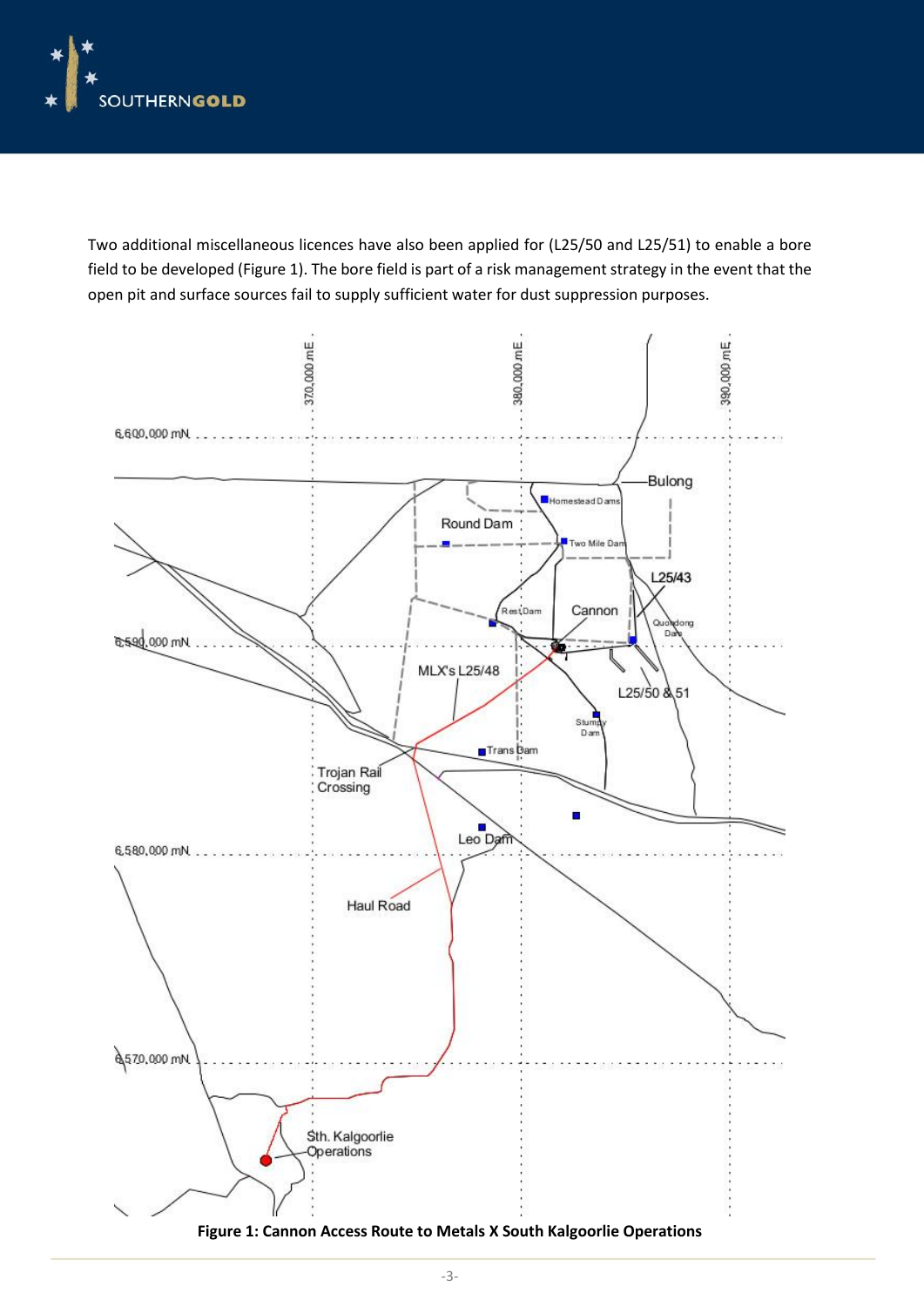

Two additional miscellaneous licences have also been applied for (L25/50 and L25/51) to enable a bore field to be developed (Figure 1). The bore field is part of a risk management strategy in the event that the open pit and surface sources fail to supply sufficient water for dust suppression purposes.

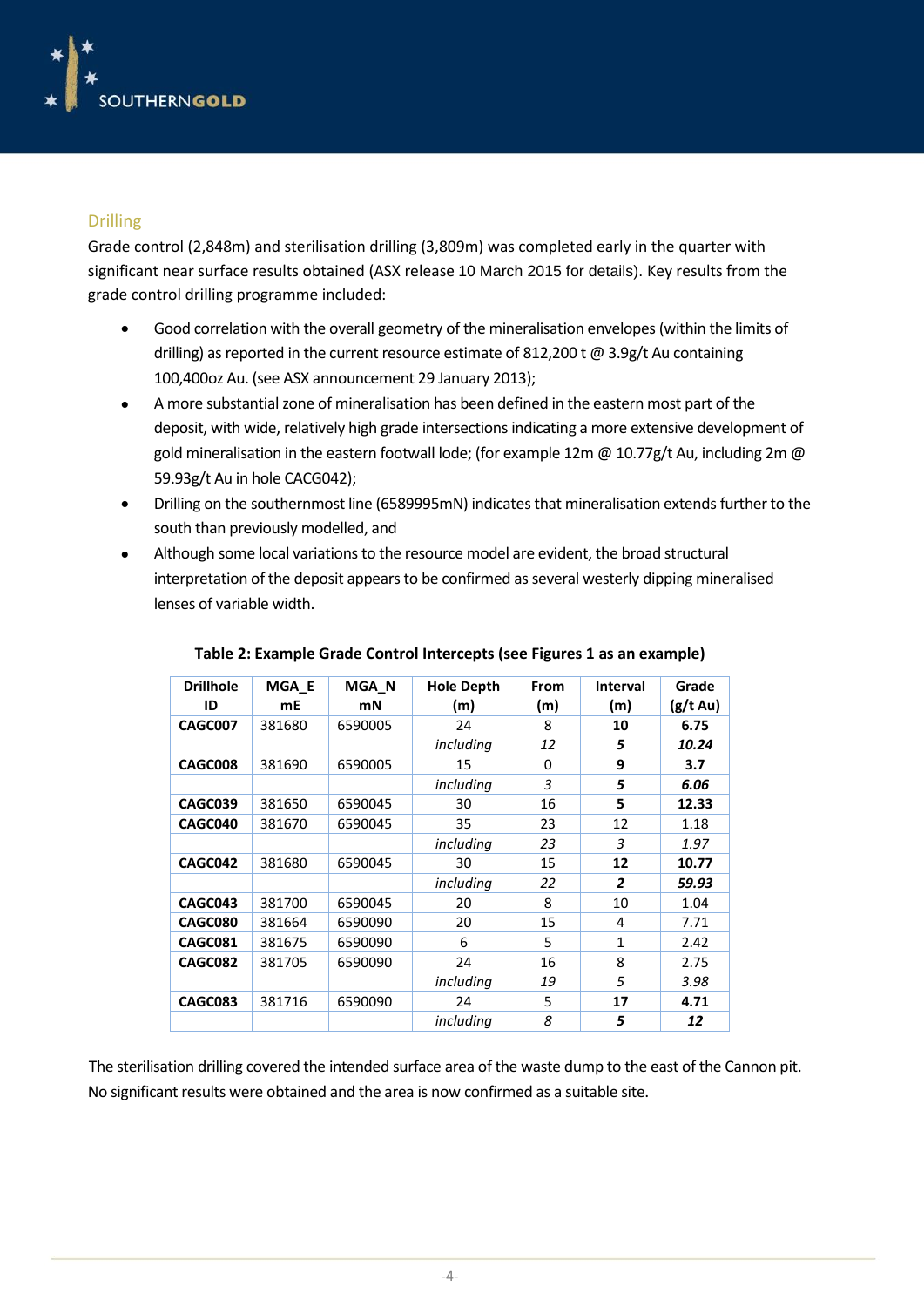

### Drilling

Grade control (2,848m) and sterilisation drilling (3,809m) was completed early in the quarter with significant near surface results obtained (ASX release 10 March 2015 for details). Key results from the grade control drilling programme included:

- Good correlation with the overall geometry of the mineralisation envelopes (within the limits of drilling) as reported in the current resource estimate of 812,200 t @ 3.9g/t Au containing 100,400oz Au. (see ASX announcement 29 January 2013);
- A more substantial zone of mineralisation has been defined in the eastern most part of the deposit, with wide, relatively high grade intersections indicating a more extensive development of gold mineralisation in the eastern footwall lode; (for example 12m  $\omega$  10.77g/t Au, including 2m  $\omega$ 59.93g/t Au in hole CACG042);
- Drilling on the southernmost line (6589995mN) indicates that mineralisation extends further to the south than previously modelled, and
- Although some local variations to the resource model are evident, the broad structural interpretation of the deposit appears to be confirmed as several westerly dipping mineralised lenses of variable width.

| <b>Drillhole</b><br>ID | MGA E<br>mE | MGA N<br>mN | <b>Hole Depth</b><br>(m) | From<br>(m) | <b>Interval</b><br>(m) | Grade<br>(g/t Au) |
|------------------------|-------------|-------------|--------------------------|-------------|------------------------|-------------------|
| CAGC007                | 381680      | 6590005     | 24                       | 8           | 10                     | 6.75              |
|                        |             |             | including                | 12          | 5                      | 10.24             |
| CAGC008                | 381690      | 6590005     | 15                       | 0           | 9                      | 3.7               |
|                        |             |             | including                | 3           | 5                      | 6.06              |
| CAGC039                | 381650      | 6590045     | 30                       | 16          | 5                      | 12.33             |
| CAGC040                | 381670      | 6590045     | 35                       | 23          | 12                     | 1.18              |
|                        |             |             | including                | 23          | 3                      | 1.97              |
| CAGC042                | 381680      | 6590045     | 30                       | 15          | 12                     | 10.77             |
|                        |             |             | including                | 22          | $\overline{2}$         | 59.93             |
| CAGC043                | 381700      | 6590045     | 20                       | 8           | 10                     | 1.04              |
| CAGC080                | 381664      | 6590090     | 20                       | 15          | 4                      | 7.71              |
| CAGC081                | 381675      | 6590090     | 6                        | 5           | $\mathbf{1}$           | 2.42              |
| CAGC082                | 381705      | 6590090     | 24                       | 16          | 8                      | 2.75              |
|                        |             |             | including                | 19          | 5                      | 3.98              |
| CAGC083                | 381716      | 6590090     | 24                       | 5           | 17                     | 4.71              |
|                        |             |             | including                | 8           | 5                      | 12                |

**Table 2: Example Grade Control Intercepts (see Figures 1 as an example)**

The sterilisation drilling covered the intended surface area of the waste dump to the east of the Cannon pit. No significant results were obtained and the area is now confirmed as a suitable site.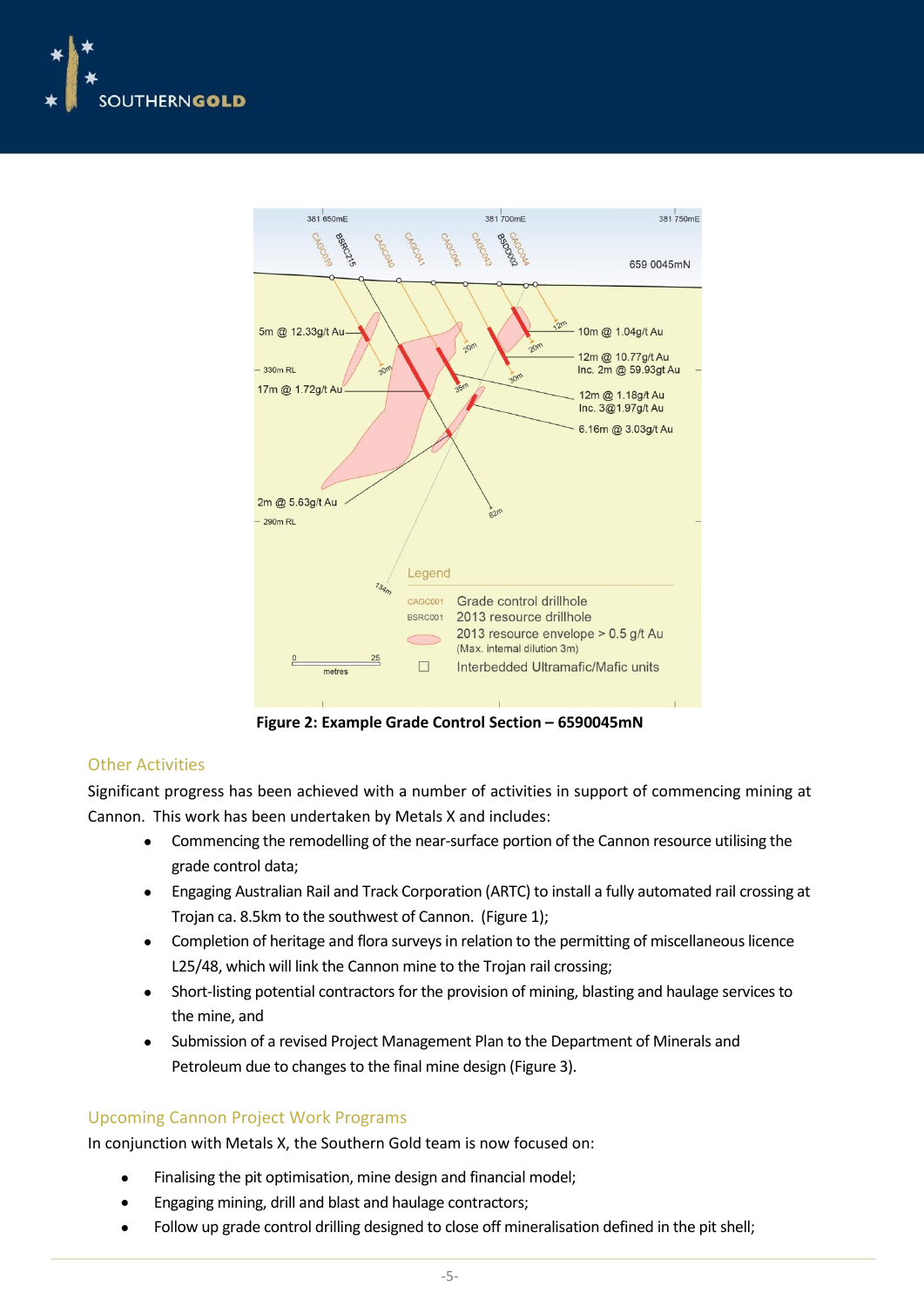



**Figure 2: Example Grade Control Section – 6590045mN**

#### Other Activities

Significant progress has been achieved with a number of activities in support of commencing mining at Cannon. This work has been undertaken by Metals X and includes:

- Commencing the remodelling of the near-surface portion of the Cannon resource utilising the grade control data;
- Engaging Australian Rail and Track Corporation (ARTC) to install a fully automated rail crossing at Trojan ca. 8.5km to the southwest of Cannon. (Figure 1);
- Completion of heritage and flora surveys in relation to the permitting of miscellaneous licence L25/48, which will link the Cannon mine to the Trojan rail crossing;
- Short-listing potential contractors for the provision of mining, blasting and haulage services to the mine, and
- Submission of a revised Project Management Plan to the Department of Minerals and Petroleum due to changes to the final mine design (Figure 3).

#### Upcoming Cannon Project Work Programs

In conjunction with Metals X, the Southern Gold team is now focused on:

- Finalising the pit optimisation, mine design and financial model;
- Engaging mining, drill and blast and haulage contractors;
- Follow up grade control drilling designed to close off mineralisation defined in the pit shell;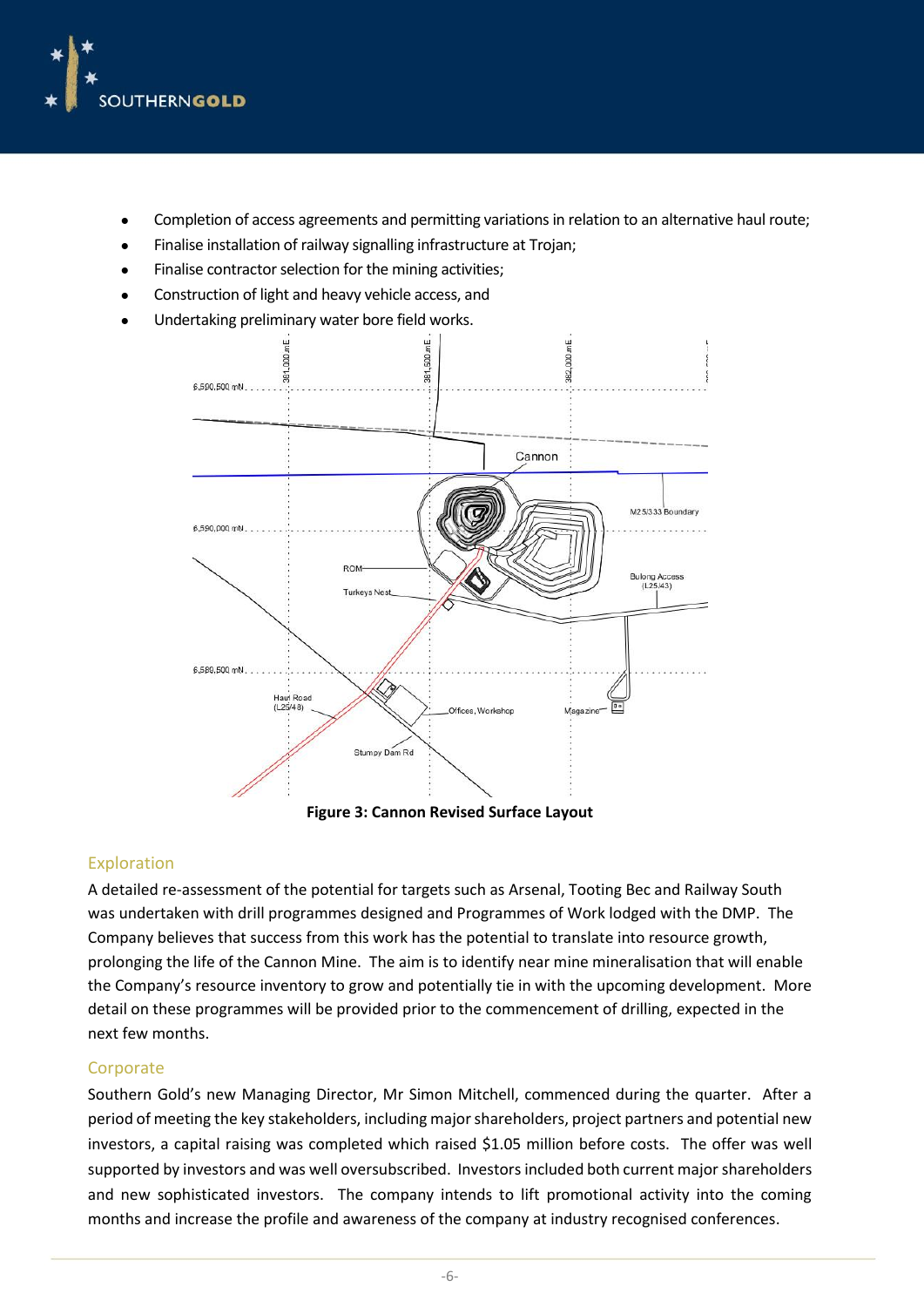

- Completion of access agreements and permitting variations in relation to an alternative haul route;
- Finalise installation of railway signalling infrastructure at Trojan;
- Finalise contractor selection for the mining activities;
- Construction of light and heavy vehicle access, and
- Undertaking preliminary water bore field works.



#### Exploration

A detailed re-assessment of the potential for targets such as Arsenal, Tooting Bec and Railway South was undertaken with drill programmes designed and Programmes of Work lodged with the DMP. The Company believes that success from this work has the potential to translate into resource growth, prolonging the life of the Cannon Mine. The aim is to identify near mine mineralisation that will enable the Company's resource inventory to grow and potentially tie in with the upcoming development. More detail on these programmes will be provided prior to the commencement of drilling, expected in the next few months.

#### **Corporate**

Southern Gold's new Managing Director, Mr Simon Mitchell, commenced during the quarter. After a period of meeting the key stakeholders, including major shareholders, project partners and potential new investors, a capital raising was completed which raised \$1.05 million before costs. The offer was well supported by investors and was well oversubscribed. Investors included both current major shareholders and new sophisticated investors. The company intends to lift promotional activity into the coming months and increase the profile and awareness of the company at industry recognised conferences.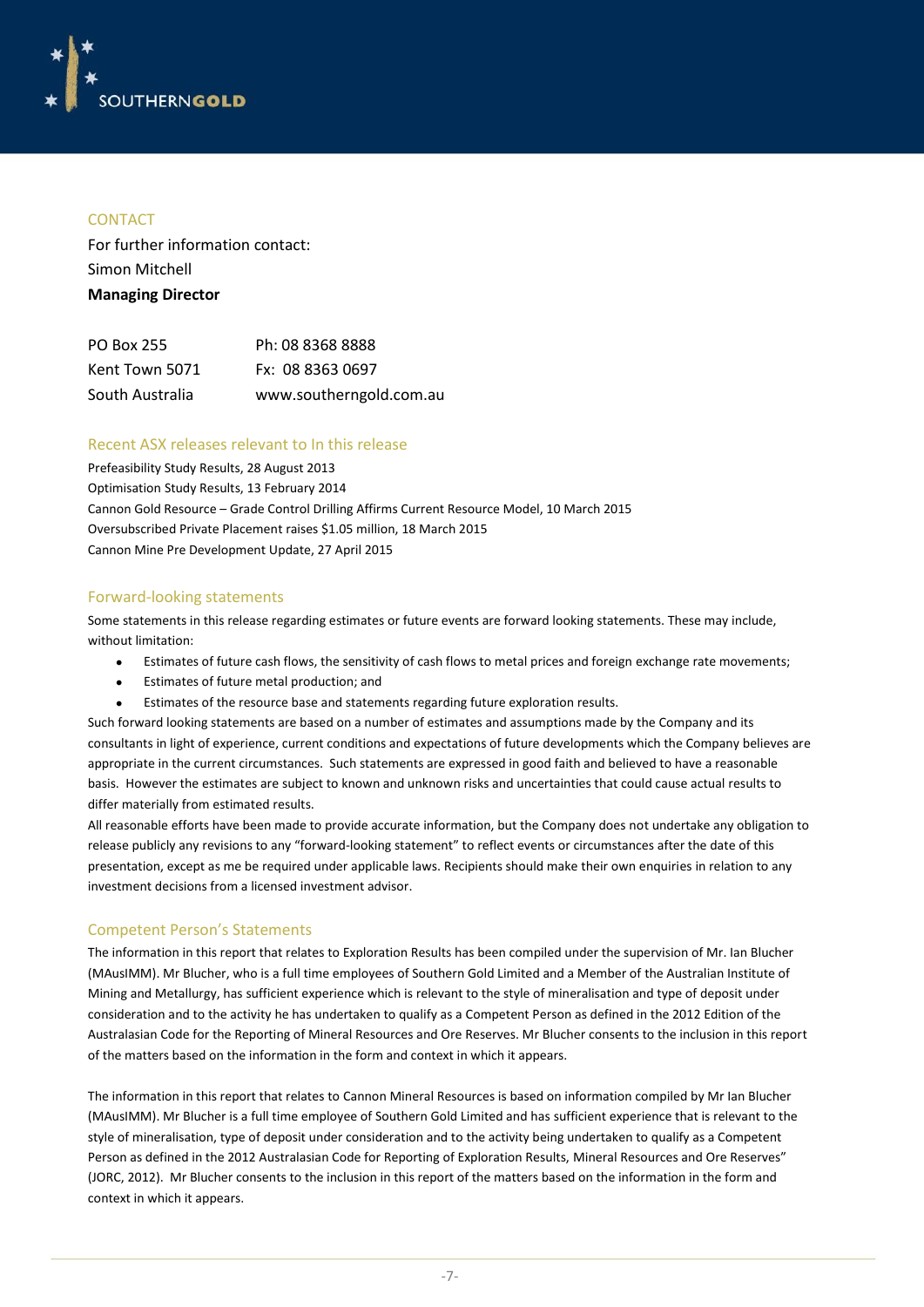

#### **CONTACT**

For further information contact: Simon Mitchell **Managing Director**

| <b>PO Box 255</b> | Ph: 08 8368 8888        |
|-------------------|-------------------------|
| Kent Town 5071    | Fx: 08 8363 0697        |
| South Australia   | www.southerngold.com.au |

#### Recent ASX releases relevant to In this release

Prefeasibility Study Results, 28 August 2013 Optimisation Study Results, 13 February 2014 Cannon Gold Resource – Grade Control Drilling Affirms Current Resource Model, 10 March 2015 Oversubscribed Private Placement raises \$1.05 million, 18 March 2015 Cannon Mine Pre Development Update, 27 April 2015

#### Forward-looking statements

Some statements in this release regarding estimates or future events are forward looking statements. These may include, without limitation:

- Estimates of future cash flows, the sensitivity of cash flows to metal prices and foreign exchange rate movements;
- Estimates of future metal production; and
- Estimates of the resource base and statements regarding future exploration results.

Such forward looking statements are based on a number of estimates and assumptions made by the Company and its consultants in light of experience, current conditions and expectations of future developments which the Company believes are appropriate in the current circumstances. Such statements are expressed in good faith and believed to have a reasonable basis. However the estimates are subject to known and unknown risks and uncertainties that could cause actual results to differ materially from estimated results.

All reasonable efforts have been made to provide accurate information, but the Company does not undertake any obligation to release publicly any revisions to any "forward-looking statement" to reflect events or circumstances after the date of this presentation, except as me be required under applicable laws. Recipients should make their own enquiries in relation to any investment decisions from a licensed investment advisor.

#### Competent Person's Statements

The information in this report that relates to Exploration Results has been compiled under the supervision of Mr. Ian Blucher (MAusIMM). Mr Blucher, who is a full time employees of Southern Gold Limited and a Member of the Australian Institute of Mining and Metallurgy, has sufficient experience which is relevant to the style of mineralisation and type of deposit under consideration and to the activity he has undertaken to qualify as a Competent Person as defined in the 2012 Edition of the Australasian Code for the Reporting of Mineral Resources and Ore Reserves. Mr Blucher consents to the inclusion in this report of the matters based on the information in the form and context in which it appears.

The information in this report that relates to Cannon Mineral Resources is based on information compiled by Mr Ian Blucher (MAusIMM). Mr Blucher is a full time employee of Southern Gold Limited and has sufficient experience that is relevant to the style of mineralisation, type of deposit under consideration and to the activity being undertaken to qualify as a Competent Person as defined in the 2012 Australasian Code for Reporting of Exploration Results, Mineral Resources and Ore Reserves" (JORC, 2012). Mr Blucher consents to the inclusion in this report of the matters based on the information in the form and context in which it appears.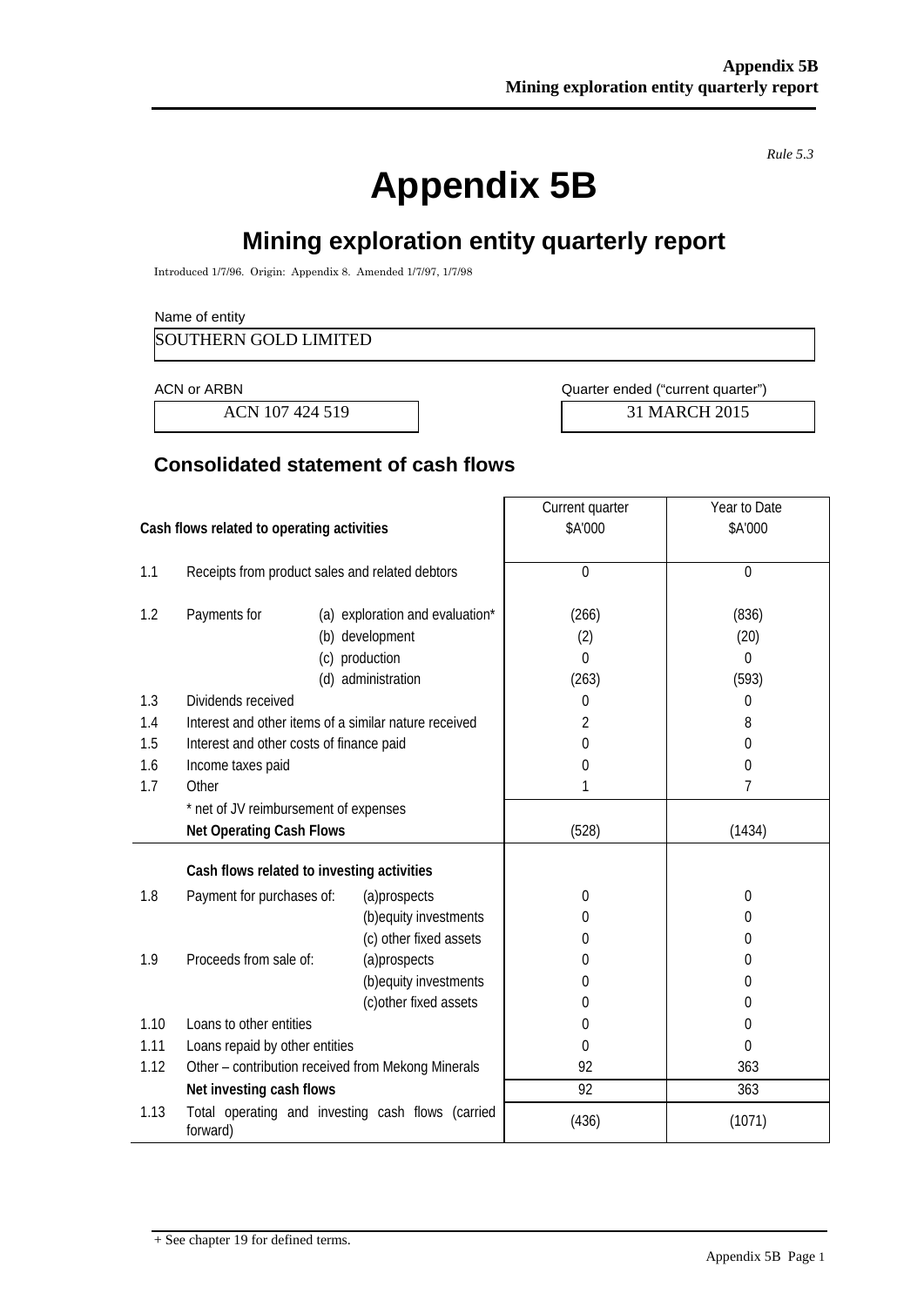*Rule 5.3*

# **Appendix 5B**

## **Mining exploration entity quarterly report**

Introduced 1/7/96. Origin: Appendix 8. Amended 1/7/97, 1/7/98

#### Name of entity

SOUTHERN GOLD LIMITED

ACN 107 424 519 2015

ACN or ARBN **ACN** or ARBN **ACN** Ouarter ended ("current quarter")

## **Consolidated statement of cash flows**

|                                            |                                                               |                                                       | Current quarter | Year to Date   |
|--------------------------------------------|---------------------------------------------------------------|-------------------------------------------------------|-----------------|----------------|
| Cash flows related to operating activities |                                                               |                                                       | \$A'000         | \$A'000        |
|                                            |                                                               |                                                       |                 |                |
| 1.1                                        | Receipts from product sales and related debtors               |                                                       | $\mathbf 0$     | $\overline{0}$ |
|                                            |                                                               |                                                       |                 |                |
| 1.2                                        | Payments for<br>(a) exploration and evaluation*               |                                                       | (266)           | (836)          |
|                                            |                                                               | (b) development                                       | (2)             | (20)           |
|                                            |                                                               | (c) production                                        | $\theta$        | $\Omega$       |
|                                            |                                                               | (d) administration                                    | (263)           | (593)          |
| 1.3                                        | Dividends received                                            |                                                       | $\theta$        | 0              |
| 1.4                                        |                                                               | Interest and other items of a similar nature received | 2               | 8              |
| 1.5                                        | Interest and other costs of finance paid                      |                                                       | 0               | $\theta$       |
| 1.6                                        | Income taxes paid                                             |                                                       | $\mathbf 0$     | 0              |
| 1.7                                        | Other                                                         |                                                       | 1               | 7              |
|                                            | * net of JV reimbursement of expenses                         |                                                       |                 |                |
|                                            | <b>Net Operating Cash Flows</b>                               |                                                       | (528)           | (1434)         |
|                                            |                                                               |                                                       |                 |                |
|                                            | Cash flows related to investing activities                    |                                                       |                 |                |
| 1.8                                        | Payment for purchases of:                                     | (a)prospects                                          | $\mathbf 0$     | 0              |
|                                            |                                                               | (b) equity investments                                | 0               | $\theta$       |
|                                            |                                                               | (c) other fixed assets                                | 0               | 0              |
| 1.9                                        | Proceeds from sale of:                                        | (a)prospects                                          | 0               | 0              |
|                                            |                                                               | (b) equity investments                                | 0               | 0              |
|                                            |                                                               | (c) other fixed assets                                | 0               | $\theta$       |
| 1.10                                       | Loans to other entities                                       |                                                       | 0               | 0              |
| 1.11                                       | Loans repaid by other entities                                |                                                       | $\Omega$        | $\Omega$       |
| 1.12                                       |                                                               | Other - contribution received from Mekong Minerals    | 92              | 363            |
|                                            | Net investing cash flows                                      |                                                       | 92              | 363            |
| 1.13                                       | Total operating and investing cash flows (carried<br>forward) |                                                       | (436)           | (1071)         |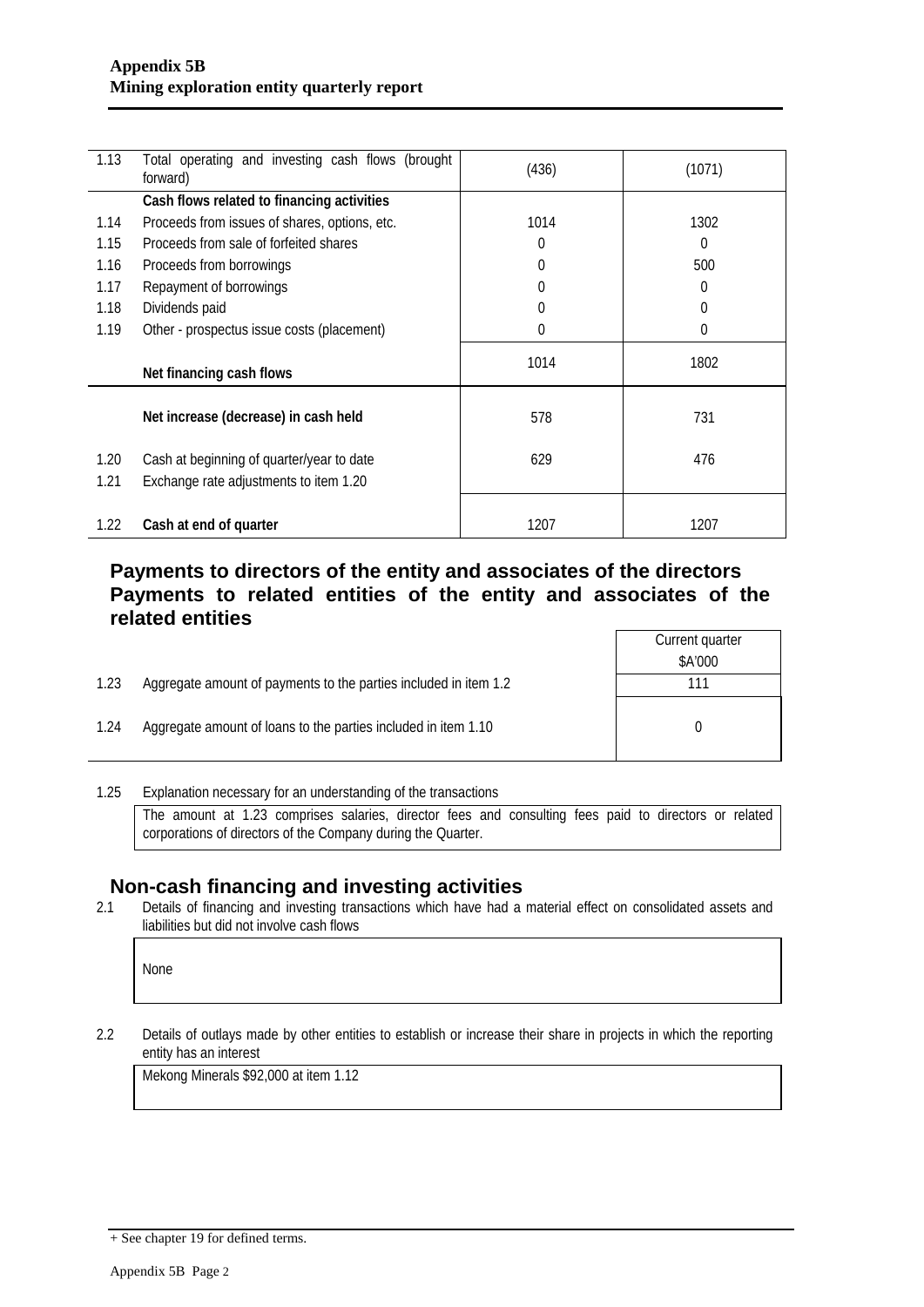| 1.13 | Total operating and investing cash flows (brought<br>forward) | (436)       | (1071) |
|------|---------------------------------------------------------------|-------------|--------|
|      | Cash flows related to financing activities                    |             |        |
| 1.14 | Proceeds from issues of shares, options, etc.                 | 1014        | 1302   |
| 1.15 | Proceeds from sale of forfeited shares                        | $\mathbf 0$ | 0      |
| 1.16 | Proceeds from borrowings                                      | $\Omega$    | 500    |
| 1.17 | Repayment of borrowings                                       | $\Omega$    | 0      |
| 1.18 | Dividends paid                                                | $\Omega$    | 0      |
| 1.19 | Other - prospectus issue costs (placement)                    | $\Omega$    | 0      |
|      | Net financing cash flows                                      | 1014        | 1802   |
|      | Net increase (decrease) in cash held                          | 578         | 731    |
| 1.20 | Cash at beginning of quarter/year to date                     | 629         | 476    |
| 1.21 | Exchange rate adjustments to item 1.20                        |             |        |
| 1.22 | Cash at end of quarter                                        | 1207        | 1207   |

### **Payments to directors of the entity and associates of the directors Payments to related entities of the entity and associates of the related entities** Current quarter

\$A'000

|      |                                                                  | \$A'00 |
|------|------------------------------------------------------------------|--------|
| 1.23 | Aggregate amount of payments to the parties included in item 1.2 |        |
|      |                                                                  |        |
| 1.24 | Aggregate amount of loans to the parties included in item 1.10   |        |

1.25 Explanation necessary for an understanding of the transactions The amount at 1.23 comprises salaries, director fees and consulting fees paid to directors or related corporations of directors of the Company during the Quarter.

# **Non-cash financing and investing activities**<br>2.1 Details of financing and investing transactions which have had a

Details of financing and investing transactions which have had a material effect on consolidated assets and liabilities but did not involve cash flows

None

2.2 Details of outlays made by other entities to establish or increase their share in projects in which the reporting entity has an interest

Mekong Minerals \$92,000 at item 1.12

<sup>+</sup> See chapter 19 for defined terms.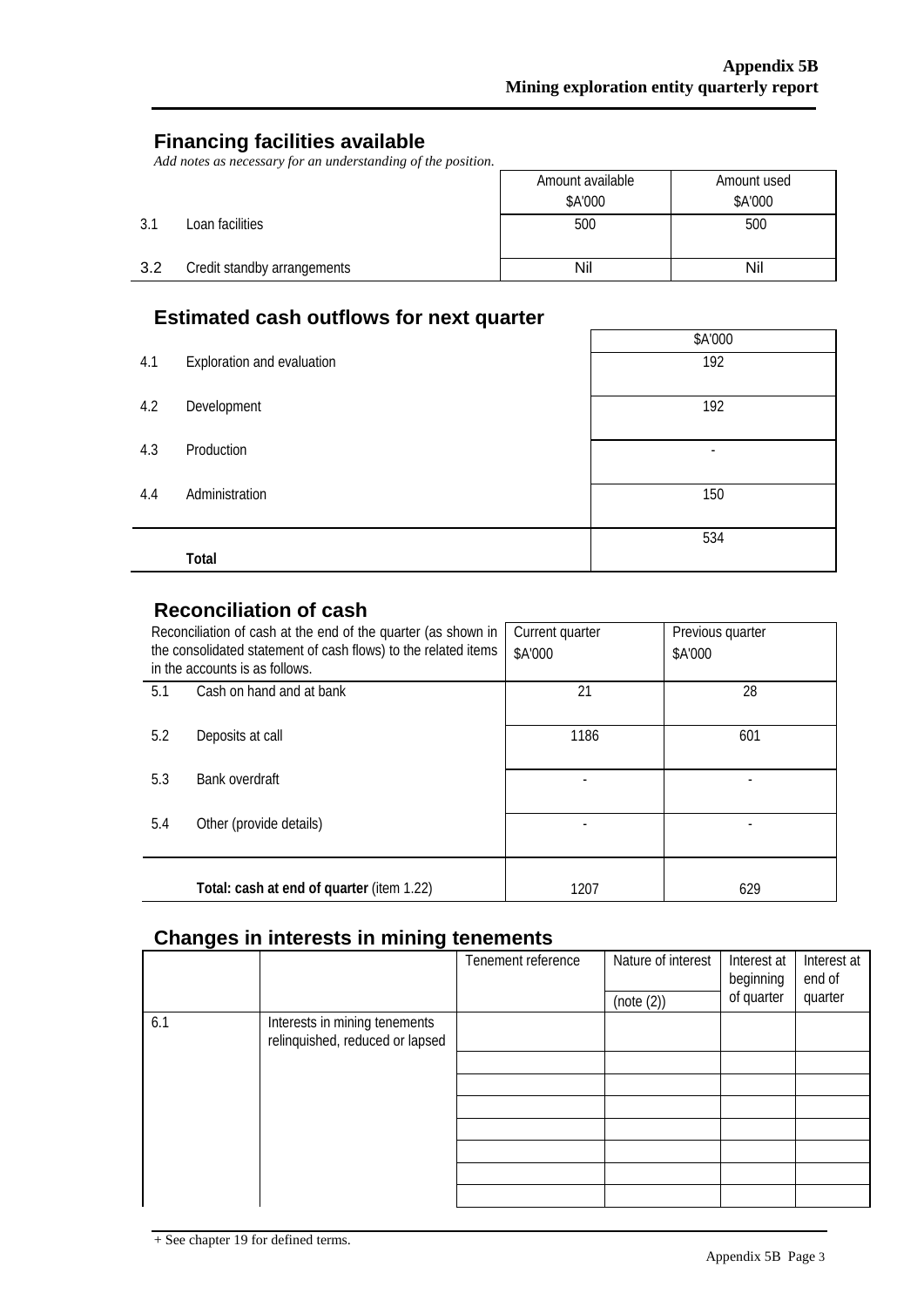## **Financing facilities available**

*Add notes as necessary for an understanding of the position.*

|     |                             | Amount available | Amount used |
|-----|-----------------------------|------------------|-------------|
|     |                             | \$A'000          | \$A'000     |
| 3.1 | Loan facilities             | 500              | 500         |
| 3.2 | Credit standby arrangements | Nil              | Nil         |

## **Estimated cash outflows for next quarter**

|     | Loundred basil batholis for float quarter |         |  |  |  |  |
|-----|-------------------------------------------|---------|--|--|--|--|
|     |                                           | \$A'000 |  |  |  |  |
| 4.1 | Exploration and evaluation                | 192     |  |  |  |  |
|     |                                           |         |  |  |  |  |
| 4.2 | Development                               | 192     |  |  |  |  |
|     |                                           |         |  |  |  |  |
| 4.3 | Production                                | -       |  |  |  |  |
|     |                                           |         |  |  |  |  |
| 4.4 | Administration                            | 150     |  |  |  |  |
|     |                                           |         |  |  |  |  |
|     |                                           | 534     |  |  |  |  |
|     | Total                                     |         |  |  |  |  |

## **Reconciliation of cash**

| Reconciliation of cash at the end of the quarter (as shown in<br>the consolidated statement of cash flows) to the related items<br>in the accounts is as follows. |                                           | Current quarter<br>\$A'000 | Previous quarter<br>\$A'000 |
|-------------------------------------------------------------------------------------------------------------------------------------------------------------------|-------------------------------------------|----------------------------|-----------------------------|
| 5.1                                                                                                                                                               | Cash on hand and at bank                  | 21                         | 28                          |
| 5.2                                                                                                                                                               | Deposits at call                          | 1186                       | 601                         |
| 5.3                                                                                                                                                               | Bank overdraft                            |                            |                             |
| 5.4                                                                                                                                                               | Other (provide details)                   |                            |                             |
|                                                                                                                                                                   | Total: cash at end of quarter (item 1.22) | 1207                       | 629                         |

### **Changes in interests in mining tenements**

|     |                                                                  | Tenement reference | Nature of interest<br>(note (2)) | Interest at<br>beginning<br>of quarter | Interest at<br>end of<br>quarter |
|-----|------------------------------------------------------------------|--------------------|----------------------------------|----------------------------------------|----------------------------------|
| 6.1 | Interests in mining tenements<br>relinquished, reduced or lapsed |                    |                                  |                                        |                                  |
|     |                                                                  |                    |                                  |                                        |                                  |
|     |                                                                  |                    |                                  |                                        |                                  |
|     |                                                                  |                    |                                  |                                        |                                  |
|     |                                                                  |                    |                                  |                                        |                                  |
|     |                                                                  |                    |                                  |                                        |                                  |
|     |                                                                  |                    |                                  |                                        |                                  |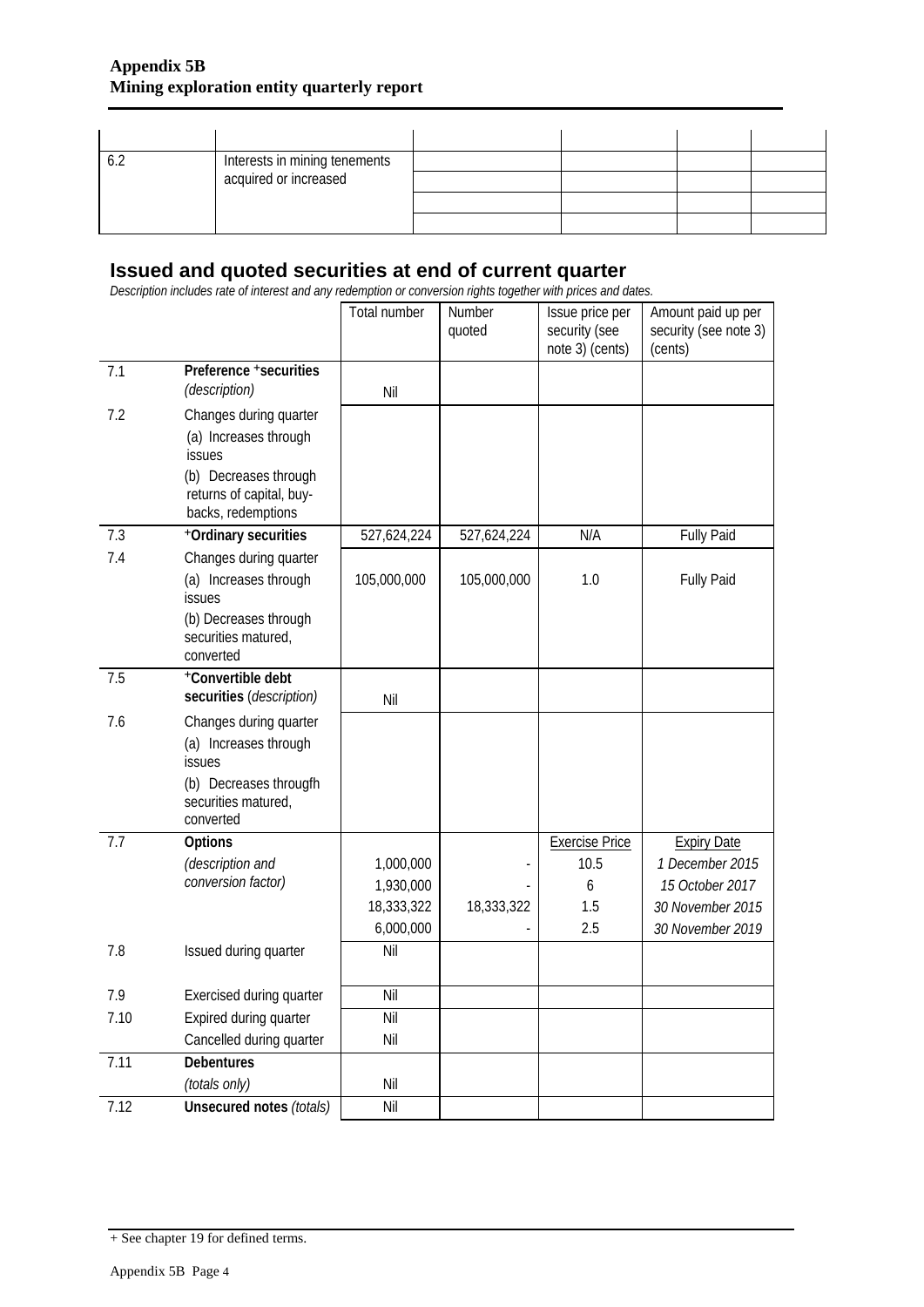|  | Interests in mining tenements |  |  |
|--|-------------------------------|--|--|
|  | acquired or increased         |  |  |
|  |                               |  |  |
|  |                               |  |  |

## **Issued and quoted securities at end of current quarter**

*Description includes rate of interest and any redemption or conversion rights together with prices and dates.*

|      |                                                 | Total number            | Number<br>quoted | Issue price per<br>security (see<br>note 3) (cents) | Amount paid up per<br>security (see note 3)<br>(cents) |
|------|-------------------------------------------------|-------------------------|------------------|-----------------------------------------------------|--------------------------------------------------------|
| 7.1  | Preference +securities<br>(description)         |                         |                  |                                                     |                                                        |
|      |                                                 | Nil                     |                  |                                                     |                                                        |
| 7.2  | Changes during quarter<br>(a) Increases through |                         |                  |                                                     |                                                        |
|      | issues                                          |                         |                  |                                                     |                                                        |
|      | (b) Decreases through                           |                         |                  |                                                     |                                                        |
|      | returns of capital, buy-                        |                         |                  |                                                     |                                                        |
|      | backs, redemptions                              |                         |                  |                                                     |                                                        |
| 7.3  | +Ordinary securities                            | 527,624,224             | 527,624,224      | N/A                                                 | <b>Fully Paid</b>                                      |
| 7.4  | Changes during quarter                          |                         |                  |                                                     |                                                        |
|      | (a) Increases through<br>issues                 | 105,000,000             | 105,000,000      | 1.0                                                 | <b>Fully Paid</b>                                      |
|      | (b) Decreases through                           |                         |                  |                                                     |                                                        |
|      | securities matured,                             |                         |                  |                                                     |                                                        |
|      | converted                                       |                         |                  |                                                     |                                                        |
| 7.5  | +Convertible debt                               |                         |                  |                                                     |                                                        |
|      | securities (description)                        | Nil                     |                  |                                                     |                                                        |
| 7.6  | Changes during quarter                          |                         |                  |                                                     |                                                        |
|      | (a) Increases through<br>issues                 |                         |                  |                                                     |                                                        |
|      | (b) Decreases througfh                          |                         |                  |                                                     |                                                        |
|      | securities matured,                             |                         |                  |                                                     |                                                        |
|      | converted                                       |                         |                  |                                                     |                                                        |
| 7.7  | Options                                         |                         |                  | <b>Exercise Price</b>                               | <b>Expiry Date</b>                                     |
|      | (description and<br>conversion factor)          | 1,000,000               |                  | 10.5                                                | 1 December 2015<br>15 October 2017                     |
|      |                                                 | 1,930,000<br>18,333,322 | 18,333,322       | 6<br>1.5                                            | 30 November 2015                                       |
|      |                                                 | 6,000,000               |                  | 2.5                                                 | 30 November 2019                                       |
| 7.8  | Issued during quarter                           | Nil                     |                  |                                                     |                                                        |
|      |                                                 |                         |                  |                                                     |                                                        |
| 7.9  | <b>Exercised during quarter</b>                 | Nil                     |                  |                                                     |                                                        |
| 7.10 | Expired during quarter                          | Nil                     |                  |                                                     |                                                        |
|      | Cancelled during quarter                        | Nil                     |                  |                                                     |                                                        |
| 7.11 | <b>Debentures</b>                               |                         |                  |                                                     |                                                        |
|      | (totals only)                                   | Nil                     |                  |                                                     |                                                        |
| 7.12 | Unsecured notes (totals)                        | Nil                     |                  |                                                     |                                                        |

<sup>+</sup> See chapter 19 for defined terms.